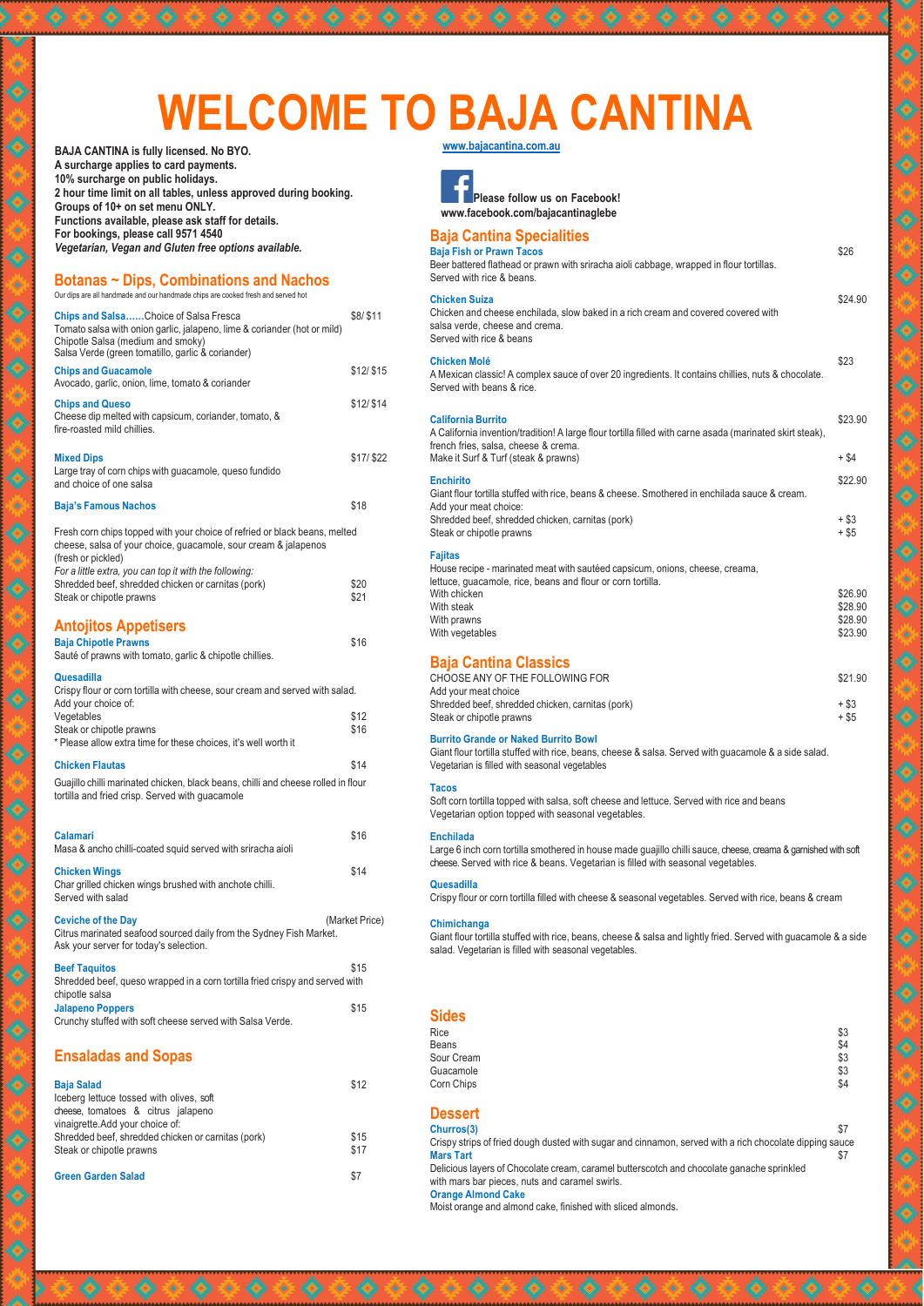# **WELCOME TO BAJA CANTINA**

**www.bajacantina.com.au**

**Please follow us on Facebook! www.facebook.com/bajacantinaglebe**

| <b>Baja Cantina Specialities</b><br><b>Baja Fish or Prawn Tacos</b><br>Beer battered flathead or prawn with sriracha aioli cabbage, wrapped in flour tortillas.<br>Served with rice & beans.                           | \$26                                     |
|------------------------------------------------------------------------------------------------------------------------------------------------------------------------------------------------------------------------|------------------------------------------|
| <b>Chicken Suiza</b><br>Chicken and cheese enchilada, slow baked in a rich cream and covered covered with<br>salsa verde, cheese and crema.<br>Served with rice & beans                                                | \$24.90                                  |
| <b>Chicken Molé</b><br>A Mexican classic! A complex sauce of over 20 ingredients. It contains chillies, nuts & chocolate.<br>Served with beans & rice.                                                                 | \$23                                     |
| <b>California Burrito</b><br>A California invention/tradition! A large flour tortilla filled with carne asada (marinated skirt steak),<br>french fries, salsa, cheese & crema.<br>Make it Surf & Turf (steak & prawns) | \$23.90<br>$+$ \$4                       |
| <b>Enchirito</b><br>Giant flour tortilla stuffed with rice, beans & cheese. Smothered in enchilada sauce & cream.<br>Add your meat choice:<br>Shredded beef, shredded chicken, carnitas (pork)                         | \$22.90<br>$+$ \$3                       |
| Steak or chipotle prawns<br><b>Fajitas</b><br>House recipe - marinated meat with sautéed capsicum, onions, cheese, creama,                                                                                             | $+$ \$5                                  |
| lettuce, guacamole, rice, beans and flour or corn tortilla.<br>With chicken<br>With steak<br>With prawns<br>With vegetables                                                                                            | \$26.90<br>\$28.90<br>\$28.90<br>\$23.90 |
| <b>Baja Cantina Classics</b><br>CHOOSE ANY OF THE FOLLOWING FOR<br>Add your meat choice                                                                                                                                | \$21.90                                  |
| Shredded beef, shredded chicken, carnitas (pork)<br>Steak or chipotle prawns                                                                                                                                           | + \$3<br>+ \$5                           |
| <b>Burrito Grande or Naked Burrito Bowl</b><br>Giant flour tortilla stuffed with rice, beans, cheese & salsa. Served with guacamole & a side salad.<br>Vegetarian is filled with seasonal vegetables                   |                                          |
| <b>Tacos</b>                                                                                                                                                                                                           |                                          |

Our dips are all handmade and our handmade chips are cooked fresh and served hot **Chips and Salsa……**Choice of Salsa Fresca Tomato salsa with onion garlic, jalapeno, lime & coriander (hot or mild) Chipotle Salsa (medium and smoky) Salsa Verde (green tomatillo, garlic & coriander) **Chips and Guacamole** Avocado, garlic, onion, lime, tomato & coriander **Chips and Queso** Cheese dip melted with capsicum, coriander, tomato, & fire-roasted mild chillies. \$8/ \$11 \$12/ \$15 \$12/ \$14 **Mixed Dips** Large tray of corn chips with guacamole, queso fundido and choice of one salsa **Baja's Famous Nachos** \$17/ \$22 \$18 Fresh corn chips topped with your choice of refried or black beans, melted cheese, salsa of your choice, guacamole, sour cream & jalapenos (fresh or pickled) *For a little extra, you can top it with the following:* Shredded beef, shredded chicken or carnitas (pork) \$20<br>Steak or chipotle prawns \$21 Steak or chipotle prawns **Antojitos Appetisers Baja Chipotle Prawns** Sauté of prawns with tomato, garlic & chipotle chillies. \$16 **Quesadilla** Crispy flour or corn tortilla with cheese, sour cream and served with salad. Add your choice of: Vegetables \$12

> Soft corn tortilla topped with salsa, soft cheese and lettuce. Served with rice and beans Vegetarian option topped with seasonal vegetables.

# **Enchilada**

Large 6 inch corn tortilla smothered in house made guajillo chilli sauce, cheese, creama & garnished with soft cheese. Served with rice & beans. Vegetarian is filled with seasonal vegetables.

#### **Quesadilla**

Crispy flour or corn tortilla filled with cheese & seasonal vegetables. Served with rice, beans & cream

# **Chimichanga**

Giant flour tortilla stuffed with rice, beans, cheese & salsa and lightly fried. Served with guacamole & a side salad. Vegetarian is filled with seasonal vegetables.

| <b>Sides</b>                                                                                                                                |     |
|---------------------------------------------------------------------------------------------------------------------------------------------|-----|
| <b>Rice</b>                                                                                                                                 | \$3 |
| <b>Beans</b>                                                                                                                                | \$4 |
| Sour Cream                                                                                                                                  | \$3 |
| Guacamole                                                                                                                                   | \$3 |
| Corn Chips                                                                                                                                  | \$4 |
| <b>Dessert</b>                                                                                                                              |     |
| Churros(3)                                                                                                                                  | \$7 |
| Crispy strips of fried dough dusted with sugar and cinnamon, served with a rich chocolate dipping sauce<br><b>Mars Tart</b>                 | \$7 |
| Delicious layers of Chocolate cream, caramel butterscotch and chocolate ganache sprinkled<br>with mars bar pieces, nuts and caramel swirls. |     |
| <b>Orange Almond Cake</b>                                                                                                                   |     |
| Moist orange and almond cake, finished with sliced almonds.                                                                                 |     |

**BAJA CANTINA is fully licensed. No BYO. A surcharge applies to card payments. 10% surcharge on public holidays. 2 hour time limit on all tables, unless approved during booking. Groups of 10+ on set menu ONLY. Functions available, please ask staff for details. For bookings, please call 9571 4540** *Vegetarian, Vegan and Gluten free options available.*

 $\hat{\bullet}$ 

 $\bullet$ 

 $\bullet$ 

 $\bullet$ 

 $\bullet$ 

 $\bullet$ 

 $\hat{\bullet}$ 

 $\bullet$ 

۵

 $\bullet$ 

 $\hat{\bullet}$ 

۵

 $\bullet$ 

۱

۵

 $\hat{\bullet}$ 

۸

۰

۰

۱

♦

# **Botanas ~ Dips, Combinations and Nachos**

| Crispy flour or corn fortilla with cheese, sour cream and served with salad. |      |
|------------------------------------------------------------------------------|------|
| Add your choice of:                                                          |      |
| Vegetables                                                                   | \$12 |
| Steak or chipotle prawns                                                     | \$16 |
| * Please allow extra time for these choices, it's well worth it              |      |
| <b>Chicken Flautas</b>                                                       | \$14 |

# Guajillo chilli marinated chicken, black beans, chilli and cheese rolled in flour tortilla and fried crisp. Served with guacamole

**Calamari** Masa & ancho chilli-coated squid served with sriracha aioli **Chicken Wings** Char grilled chicken wings brushed with anchote chilli. Served with salad \$16 \$14 **Ceviche of the Day** (Market Price) Citrus marinated seafood sourced daily from the Sydney Fish Market. Ask your server for today's selection.

| <b>Beef Taguitos</b>                                                         | \$15 |
|------------------------------------------------------------------------------|------|
| Shredded beef, queso wrapped in a corn tortilla fried crispy and served with |      |

#### chipotle salsa

### **Jalapeno Poppers**

Crunchy stuffed with soft cheese served with Salsa Verde.

\$15

# **Ensaladas and Sopas**

#### **Baja Salad**

Iceberg lettuce tossed with olives, soft cheese, tomatoes & citrus jalapeno vinaigrette.Add your choice of: Shredded beef, shredded chicken or carnitas (pork) Steak or chipotle prawns

**Green Garden Salad**

\$12

\$15 \$17

\$7